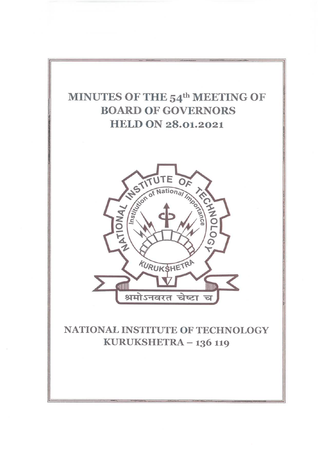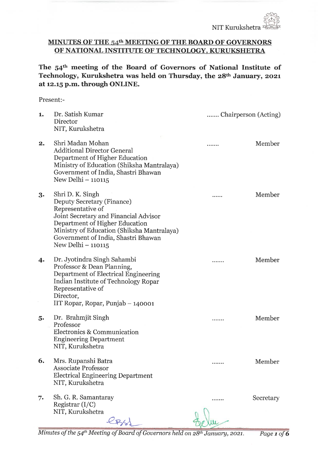# MINUTES OF THE 54<sup>th</sup> MEETING OF THE BOARD OF GOVERNORS OF NATIONAL INSTITUTE OF TECHNOLOGY KURUKSHETRA

The 54th meeting of the Board of Governors of National Institute of Technology, Kurukshetra was held on Thursday, the 28th January, 2021 at 12. 15 p.m. through ONLINE.

#### Present:-

| 1.         | Dr. Satish Kumar<br>Director<br>NIT, Kurukshetra                                                                                                                                                                                                          | Chairperson (Acting) |           |
|------------|-----------------------------------------------------------------------------------------------------------------------------------------------------------------------------------------------------------------------------------------------------------|----------------------|-----------|
| 2.         | Shri Madan Mohan<br><b>Additional Director General</b><br>Department of Higher Education<br>Ministry of Education (Shiksha Mantralaya)<br>Government of India, Shastri Bhawan<br>New Delhi - 110115                                                       |                      | Member    |
| 3.         | Shri D. K. Singh<br>Deputy Secretary (Finance)<br>Representative of<br>Joint Secretary and Financial Advisor<br>Department of Higher Education<br>Ministry of Education (Shiksha Mantralaya)<br>Government of India, Shastri Bhawan<br>New Delhi - 110115 |                      | Member    |
| $\ddot{4}$ | Dr. Jyotindra Singh Sahambi<br>Professor & Dean Planning,<br>Department of Electrical Engineering<br>Indian Institute of Technology Ropar<br>Representative of<br>Director,<br>IIT Ropar, Ropar, Punjab – 140001                                          |                      | Member    |
| 5.         | Dr. Brahmjit Singh<br>Professor<br>Electronics & Communication<br><b>Engineering Department</b><br>NIT, Kurukshetra                                                                                                                                       | .                    | Member    |
| 6.         | Mrs. Rupanshi Batra<br><b>Associate Professor</b><br><b>Electrical Engineering Department</b><br>NIT, Kurukshetra                                                                                                                                         | .                    | Member    |
| 7.         | Sh. G. R. Samantaray<br>Registrar $(I/C)$<br>NIT, Kurukshetra                                                                                                                                                                                             |                      | Secretary |

Minutes of the 54<sup>th</sup> Meeting of Board of Governors held on  $28$ <sup>th</sup> January, 2021. Page 1 of 6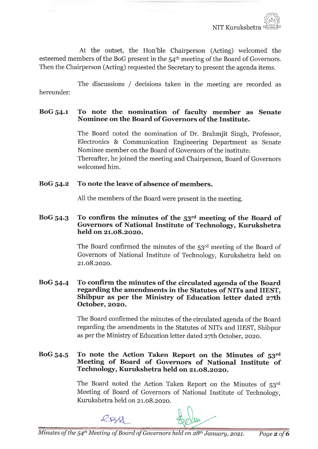At the outset, the Hon'ble Chairperson (Acting) welcomed the esteemed members of the BoG present in the 54th meeting of the Board of Governors. Then the Chairperson (Acting) requested the Secretary to present the agenda items.

hereunder: The discussions / decisions taken in the meeting are recorded as

# BoG 54-1 To note the nomination of faculty member as Senate Nominee on the Board of Governors of the Institute.

The Board noted the nomination of Dr. Brahmjit Singh, Professor, Electronics & Communication Engineering Department as Senate Nominee member on the Board of Governors of the institute. Thereafter, he joined the meeting and Chairperson, Board of Governors welcomed him.

# BoG 54.2 To note the leave of absence of members.

All the members of the Board were present in the meeting.

## BoG  $54.3$  To confirm the minutes of the  $53<sup>rd</sup>$  meeting of the Board of Governors of National Institute of Technology, Kurukshetra held on 21.08.2020.

The Board confirmed the minutes of the 53rd meeting of the Board of Governors of National Institute of Technology, Kurukshetra held on 21. 08. 2020.

## BoG 54.4 To confirm the minutes of the circulated agenda of the Board regarding the amendments in the Statutes of NITs and IIEST, Shibpur as per the Ministry of Education letter dated 27th October, 2020.

The Board confirmed the minutes of the circulated agenda of the Board regarding the amendments in the Statutes of NITs and IIEST, Shibpur as per the Ministry of Education letter dated 2yth October, 2020.

# BoG 54.5 To note the Action Taken Report on the Minutes of 53rd Meeting of Board of Governors of National Institute of Technology, Kurukshetra held on 21. 08.2020.

The Board noted the Action Taken Report on the Minutes of 53rd Meeting of Board of Governors of National Institute of Technology, Kurukshetra held on 21.08.2020.

 $R$ B/d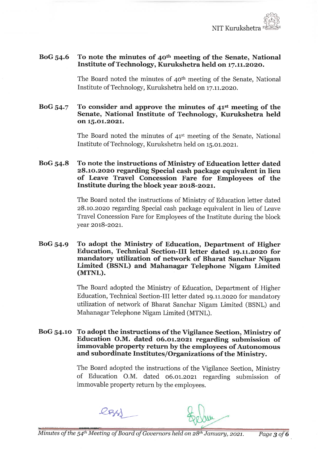

# BoG 54.6 To note the minutes of  $40<sup>th</sup>$  meeting of the Senate, National Institute of Technology, Kurukshetra held on 17. 11. 2020.

The Board noted the minutes of 40th meeting of the Senate, National Institute of Technology, Kurukshetra held on 17. 11. 2020.

## BoG  $54.7$  To consider and approve the minutes of  $41<sup>st</sup>$  meeting of the Senate, National Institute of Technology, Kurukshetra held on 15.01.2021.

The Board noted the minutes of 41st meeting of the Senate, National Institute of Technology, Kurukshetra held on 15. 01. 2021.

# BoG 54. 8 To note the instructions of Ministry of Education letter dated 28. io.2020 regarding Special cash package equivalent in lieu of Leave Travel Concession Fare for Employees of the Institute during the block year 2018-2021.

The Board noted the instructions of Ministry of Education letter dated 28. 10. 2020 regarding Special cash package equivalent in lieu of Leave Travel Concession Fare for Employees of the Institute during the block year 2018-2021.

#### BoG 54.9 To adopt the Ministry of Education, Department of Higher Education, Technical Section-III letter dated 19. 11. 2020 for mandatory utilization of network of Bharat Sanchar Nigam Limited (BSNL) and Mahanagar Telephone Nigam Limited (MTNL).

The Board adopted the Ministry of Education, Department of Higher Education, Technical Section-III letter dated 19. 11. 2020 for mandatory utilization of network of Bharat Sanchar Nigam Limited (BSNL) and Mahanagar Telephone Nigam Limited (MTNL).

### BoG 54. 10 To adopt the instructions of the Vigilance Section, Ministry of Education O.M. dated 06. 01. 2021 regarding submission of immovable property return by the employees of Autonomous and subordinate Institutes/Organizations of the Ministry.

The Board adopted the instructions of the Vigilance Section, Ministry of Education O.M. dated 06.01.2021 regarding submission of immovable property return by the employees.

 $R$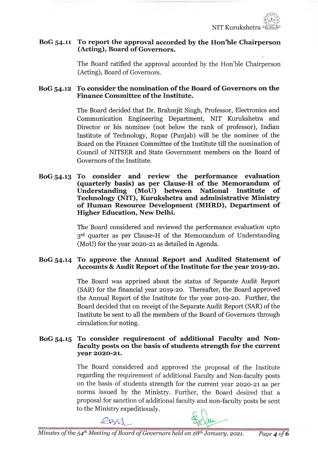

^

## BoG 54. 11 To report the approval accorded by the Hon'ble Chairperson (Acting), Board of Governors.

The Board ratified the approval accorded by the Hon'ble Chairperson (Acting), Board of Governors.

# BoG 54.12 To consider the nomination of the Board of Governors on the Finance Committee of the Institute.

The Board decided that Dr. Brahmjit Singh, Professor, Electronics and Communication Engineering Department, NIT Kurukshetra and Director or his nominee (not below the rank of professor), Indian Institute of Technology, Ropar (Punjab) will be the nominee of the Board on the Finance Committee of the Institute till the nomination of Council of NITSER and State Government members on the Board of Governors of the Institute.

BoG 54.13 To consider and review the performance evaluation (quarterly basis) as per Clause-H of the Memorandum of Understanding (MoU) between National Technology (NIT), Kurukshetra and administrative Ministry of Human Resource Development (MHRD), Departinent of Higher Education, New Delhi.

> The Board considered and reviewed the performance evaluation upto 3<sup>rd</sup> quarter as per Clause-H of the Memorandum of Understanding (MoU) for the year 2020-21 as detailed in Agenda.

# BoG 54.14 To approve the Annual Report and Audited Statement of Accounts & Audit Report of the Institute for the year 2019-20.

The Board was apprised about the status of Separate Audit Report (SAR) for the financial year 2019-20. Thereafter, the Board approved the Annual Report of the Institute for the year 2019-20. Further, the Board decided that on receipt of the Separate Audit Report (SAR) of the Institute be sent to all the members of the Board of Governors through circulation for noting.

# BoG 54.15 To consider requirement of additional Faculty and Nonfaculty posts on the basis of students strength for the current year 2020-21.

The Board considered and approved the proposal of the Institute regarding the requirement of additional Faculty and Non-faculty posts on the basis of students strength for the current year 2020-21 as per norms issued by the Ministry. Further, the Board desired that a proposal for sanction of additional faculty and non-faculty posts be sent to the Ministry expeditiously.

 $224$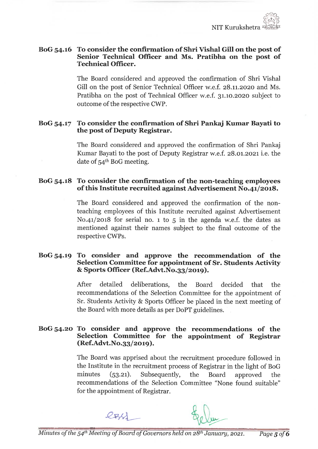## BoG 54.16 To consider the confirmation of Shri Vishal Gill on the post of Senior Technical Officer and Ms. Pratibha on the post of Technical Officer.

The Board considered and approved the confirmation of Shri Vishal Gill on the post of Senior Technical Officer w.e.f. 28.11.2020 and Ms. Pratibha on the post of Technical Officer w.e.f. 31.10.2020 subject to outcome of the respective CWP.

# BoG 54. 17 To consider the confirmation of Shri Pankaj Kumar Bayati to the post of Deputy Registrar.

The Board considered and approved the confirmation of Shri Pankaj Kumar Bayati to the post of Deputy Registrar w.e.f. 28. 01. 2021 i.e. the date of 54th BoG meeting.

# BoG 54. 18 To consider the confirmation of the non-teaching employees of this Institute recruited against Advertisement N0. 41/2018.

The Board considered and approved the confirmation of the nonteaching employees of this Institute recruited against Advertisement No. 41/2018 for serial no. 1 to 5 in the agenda w.e.f. the dates as mentioned against their names subject to the final outcome of the respective CWPs.

## BoG 54-19 To consider and approve the recommendation of the Selection Committee for appointment of Sr. Students Activity & Sports Officer (Ref. Advt. No. 33/20l9).

After detailed deliberations, the Board decided that the recommendations of the Selection Committee for the appointment of Sr. Students Activity & Sports Officer be placed in the next meeting of the Board with more details as per DoPT guidelines.

## BoG 54. 20 To consider and approve the recommendations of the Selection Committee for the appointment of Registrar (Ref. Advt. No. 33/2019).

The Board was apprised about the recruitment procedure followed in the Institute in the recruitment process of Registrar in the light of BoG minutes (53.21). Subsequently, the Board approved the recommendations of the Selection Committee "None found suitable" for the appointment of Registrar.